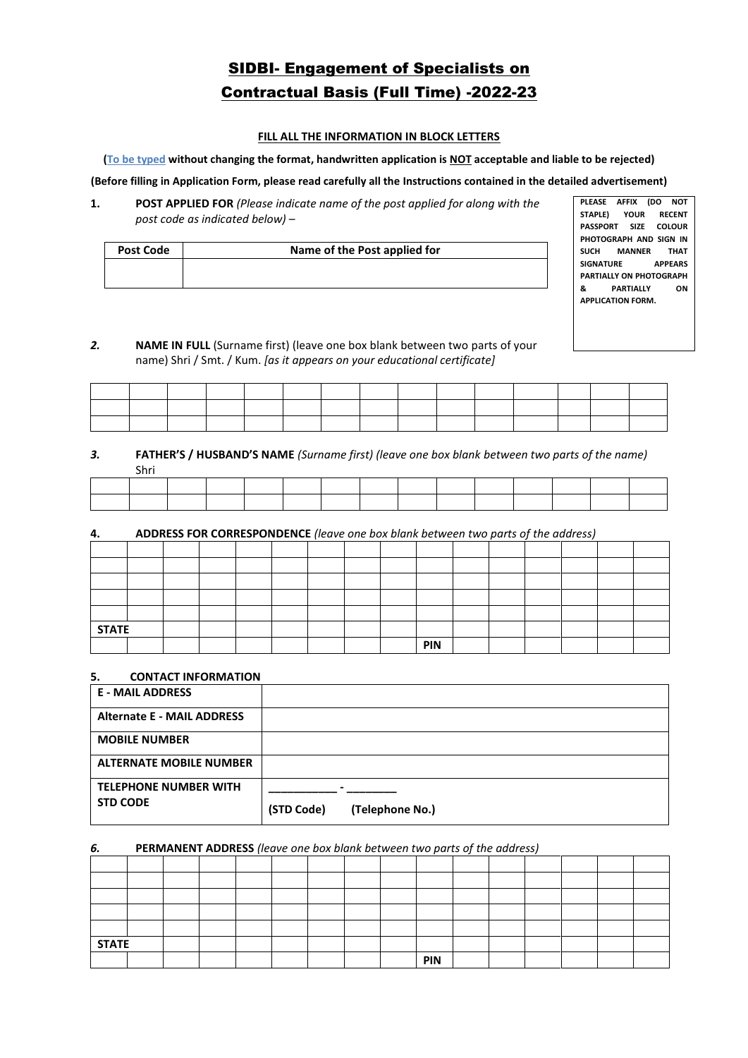# SIDBI- Engagement of Specialists on Contractual Basis (Full Time) -2022-23

#### **FILL ALL THE INFORMATION IN BLOCK LETTERS**

#### **(To be typed without changing the format, handwritten application is NOT acceptable and liable to be rejected)**

#### **(Before filling in Application Form, please read carefully all the Instructions contained in the detailed advertisement)**

**1. POST APPLIED FOR** *(Please indicate name of the post applied for along with the post code as indicated below)* –

| Post Code | Name of the Post applied for |
|-----------|------------------------------|
|           |                              |
|           |                              |

**PLEASE AFFIX (DO NOT STAPLE) YOUR RECENT PASSPORT SIZE COLOUR PHOTOGRAPH AND SIGN IN SUCH MANNER THAT SIGNATURE APPEARS PARTIALLY ON PHOTOGRAPH & PARTIALLY ON APPLICATION FORM.**

# *2.* **NAME IN FULL** (Surname first) (leave one box blank between two parts of your name) Shri / Smt. / Kum. *[as it appears on your educational certificate]*

|         |  |  |  | the control of the control of | the contract of the contract of the contract of the contract of the contract of |  |  |  |
|---------|--|--|--|-------------------------------|---------------------------------------------------------------------------------|--|--|--|
| _______ |  |  |  |                               | the contract of the contract of the contract of the contract of the contract of |  |  |  |
|         |  |  |  |                               |                                                                                 |  |  |  |

#### *3.* **FATHER'S / HUSBAND'S NAME** *(Surname first) (leave one box blank between two parts of the name)* Shri

# **4. ADDRESS FOR CORRESPONDENCE** *(leave one box blank between two parts of the address)*

| <b>STATE</b> |  |  |  |  |     |  |  |  |
|--------------|--|--|--|--|-----|--|--|--|
|              |  |  |  |  | PIN |  |  |  |

#### **5. CONTACT INFORMATION**

| <b>E - MAIL ADDRESS</b>           |                               |
|-----------------------------------|-------------------------------|
| <b>Alternate E - MAIL ADDRESS</b> |                               |
| <b>MOBILE NUMBER</b>              |                               |
| <b>ALTERNATE MOBILE NUMBER</b>    |                               |
| <b>TELEPHONE NUMBER WITH</b>      |                               |
| <b>STD CODE</b>                   | (STD Code)<br>(Telephone No.) |

#### *6.* **PERMANENT ADDRESS** *(leave one box blank between two parts of the address)*

| <b>STATE</b> |  |  |  |  |     |  |  |  |
|--------------|--|--|--|--|-----|--|--|--|
|              |  |  |  |  | PIN |  |  |  |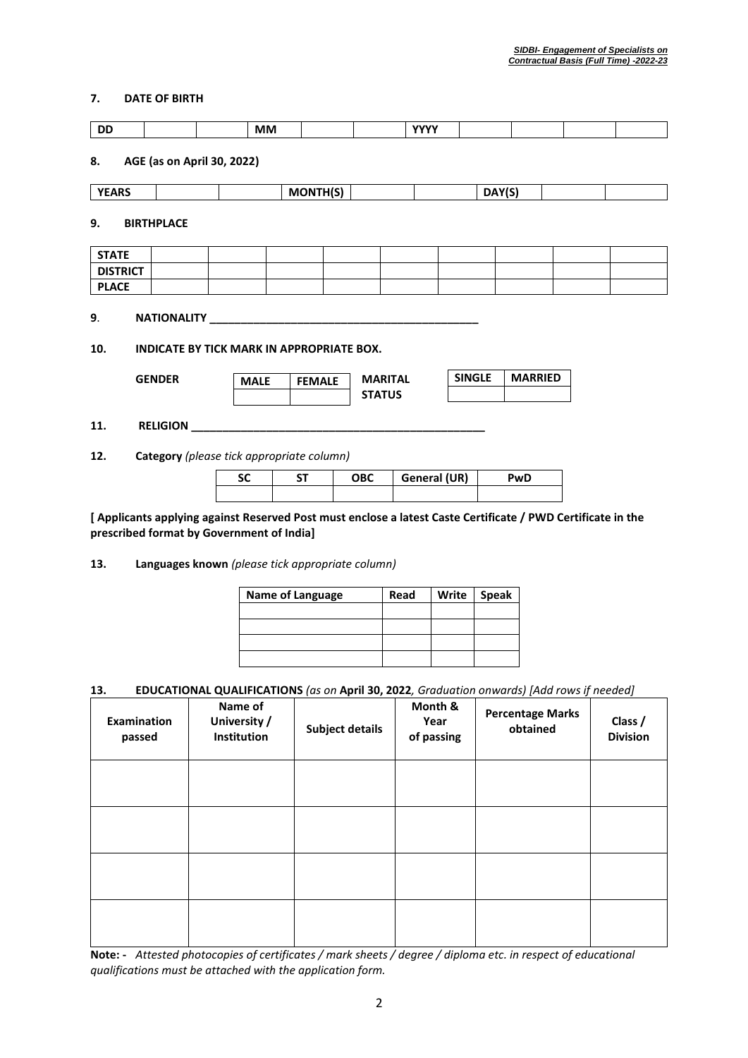# **7. DATE OF BIRTH**

|                 |                   |                            | <b>MM</b>   |                                           |                                 | <b>YYYY</b>  |               |                |  |
|-----------------|-------------------|----------------------------|-------------|-------------------------------------------|---------------------------------|--------------|---------------|----------------|--|
| 8.              |                   | AGE (as on April 30, 2022) |             |                                           |                                 |              |               |                |  |
| <b>YEARS</b>    |                   |                            |             | <b>MONTH(S)</b>                           |                                 |              | DAY(S)        |                |  |
| 9.              | <b>BIRTHPLACE</b> |                            |             |                                           |                                 |              |               |                |  |
| <b>STATE</b>    |                   |                            |             |                                           |                                 |              |               |                |  |
| <b>DISTRICT</b> |                   |                            |             |                                           |                                 |              |               |                |  |
| <b>PLACE</b>    |                   |                            |             |                                           |                                 |              |               |                |  |
| 10.             |                   |                            |             | INDICATE BY TICK MARK IN APPROPRIATE BOX. |                                 |              |               |                |  |
|                 | <b>GENDER</b>     |                            | <b>MALE</b> | <b>FEMALE</b>                             | <b>MARITAL</b><br><b>STATUS</b> |              | <b>SINGLE</b> | <b>MARRIED</b> |  |
|                 |                   | RELIGION                   |             |                                           |                                 |              |               |                |  |
|                 |                   |                            |             | Category (please tick appropriate column) |                                 |              |               |                |  |
| 11.<br>12.      |                   |                            | <b>SC</b>   | <b>ST</b>                                 | <b>OBC</b>                      | General (UR) |               | PwD            |  |

**13. Languages known** *(please tick appropriate column)*

| Name of Language | Read | Write   Speak |
|------------------|------|---------------|
|                  |      |               |
|                  |      |               |
|                  |      |               |
|                  |      |               |

# **13. EDUCATIONAL QUALIFICATIONS** *(as on* **April 30, 2022***, Graduation onwards) [Add rows if needed]*

| <b>Examination</b><br>passed | Name of<br>University /<br>Institution | Subject details | Month &<br>Year<br>of passing | <b>Percentage Marks</b><br>obtained | Class /<br><b>Division</b> |
|------------------------------|----------------------------------------|-----------------|-------------------------------|-------------------------------------|----------------------------|
|                              |                                        |                 |                               |                                     |                            |
|                              |                                        |                 |                               |                                     |                            |
|                              |                                        |                 |                               |                                     |                            |
|                              |                                        |                 |                               |                                     |                            |

**Note: -** *Attested photocopies of certificates / mark sheets / degree / diploma etc. in respect of educational qualifications must be attached with the application form.*